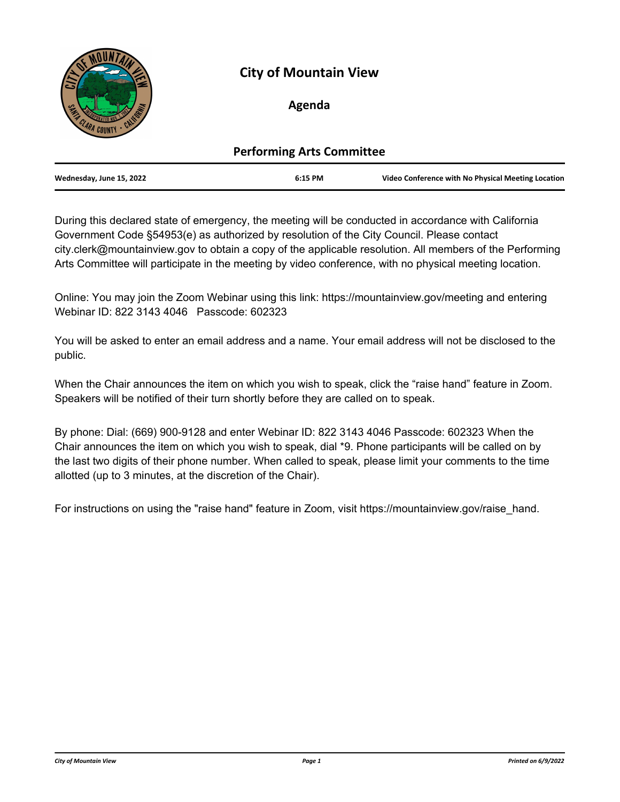

# **City of Mountain View**

# **Agenda**

| <b>Performing Arts Committee</b> |         |                                                    |
|----------------------------------|---------|----------------------------------------------------|
| Wednesday, June 15, 2022         | 6:15 PM | Video Conference with No Physical Meeting Location |

During this declared state of emergency, the meeting will be conducted in accordance with California Government Code §54953(e) as authorized by resolution of the City Council. Please contact city.clerk@mountainview.gov to obtain a copy of the applicable resolution. All members of the Performing Arts Committee will participate in the meeting by video conference, with no physical meeting location.

Online: You may join the Zoom Webinar using this link: https://mountainview.gov/meeting and entering Webinar ID: 822 3143 4046 Passcode: 602323

You will be asked to enter an email address and a name. Your email address will not be disclosed to the public.

When the Chair announces the item on which you wish to speak, click the "raise hand" feature in Zoom. Speakers will be notified of their turn shortly before they are called on to speak.

By phone: Dial: (669) 900-9128 and enter Webinar ID: 822 3143 4046 Passcode: 602323 When the Chair announces the item on which you wish to speak, dial \*9. Phone participants will be called on by the last two digits of their phone number. When called to speak, please limit your comments to the time allotted (up to 3 minutes, at the discretion of the Chair).

For instructions on using the "raise hand" feature in Zoom, visit https://mountainview.gov/raise\_hand.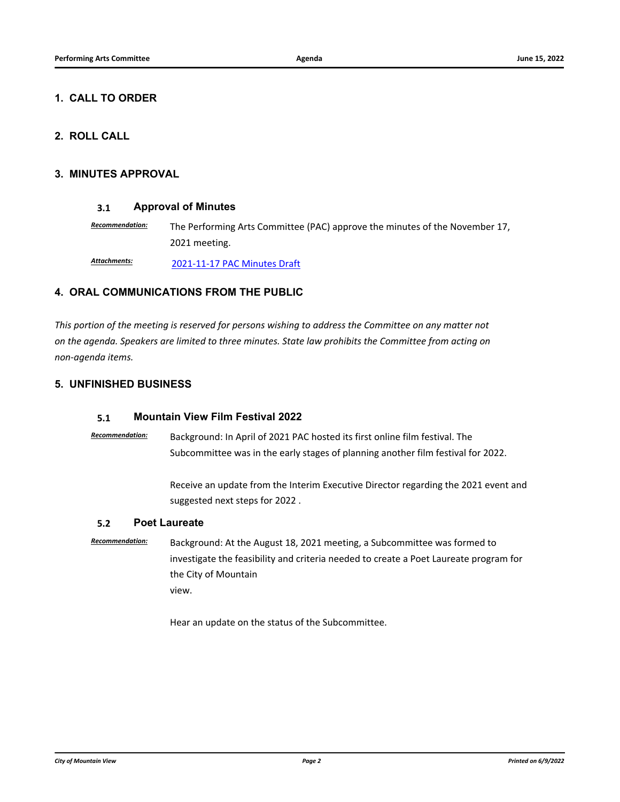## **1. CALL TO ORDER**

# **2. ROLL CALL**

### **3. MINUTES APPROVAL**

### **3.1 [Approval of Minutes](http://mountainview.legistar.com/gateway.aspx?m=l&id=/matter.aspx?key=6585)**

*Recommendation:* The Performing Arts Committee (PAC) approve the minutes of the November 17, 2021 meeting.

[2021-11-17 PAC Minutes Draft](http://mountainview.legistar.com/gateway.aspx?M=F&ID=d1098fc3-0403-4e43-a9c4-a8f31f84d6aa.pdf) *Attachments:*

## **4. ORAL COMMUNICATIONS FROM THE PUBLIC**

*This portion of the meeting is reserved for persons wishing to address the Committee on any matter not on the agenda. Speakers are limited to three minutes. State law prohibits the Committee from acting on non-agenda items.*

## **5. UNFINISHED BUSINESS**

### **5.1 [Mountain View Film Festival 2022](http://mountainview.legistar.com/gateway.aspx?m=l&id=/matter.aspx?key=6578)**

*Recommendation:* Background: In April of 2021 PAC hosted its first online film festival. The Subcommittee was in the early stages of planning another film festival for 2022.

> Receive an update from the Interim Executive Director regarding the 2021 event and suggested next steps for 2022 .

### **5.2 [Poet Laureate](http://mountainview.legistar.com/gateway.aspx?m=l&id=/matter.aspx?key=6579)**

*Recommendation:* Background: At the August 18, 2021 meeting, a Subcommittee was formed to investigate the feasibility and criteria needed to create a Poet Laureate program for the City of Mountain view.

Hear an update on the status of the Subcommittee.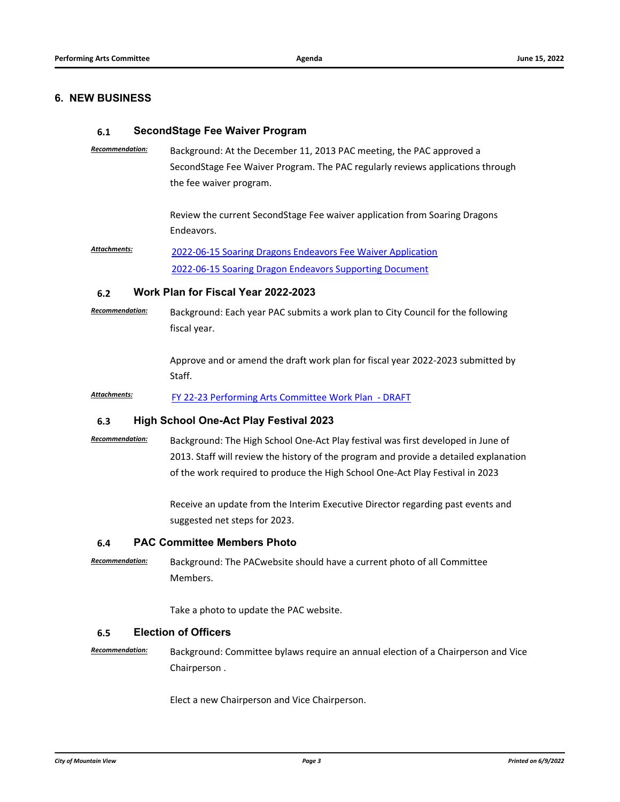## **6. NEW BUSINESS**

#### **6.1 [SecondStage Fee Waiver Program](http://mountainview.legistar.com/gateway.aspx?m=l&id=/matter.aspx?key=6577)**

*Recommendation:* Background: At the December 11, 2013 PAC meeting, the PAC approved a SecondStage Fee Waiver Program. The PAC regularly reviews applications through the fee waiver program.

> Review the current SecondStage Fee waiver application from Soaring Dragons Endeavors.

[2022-06-15 Soaring Dragons Endeavors Fee Waiver Application](http://mountainview.legistar.com/gateway.aspx?M=F&ID=ff12fdc3-9467-4ffb-b8d2-35592518c31d.pdf) [2022-06-15 Soaring Dragon Endeavors Supporting Document](http://mountainview.legistar.com/gateway.aspx?M=F&ID=75078663-671d-4777-bf8b-04de3d7d47ee.pdf) *Attachments:*

#### **6.2 [Work Plan for Fiscal Year 2022-2023](http://mountainview.legistar.com/gateway.aspx?m=l&id=/matter.aspx?key=6584)**

*Recommendation:* Background: Each year PAC submits a work plan to City Council for the following fiscal year.

> Approve and or amend the draft work plan for fiscal year 2022-2023 submitted by Staff.

Attachments: [FY 22-23 Performing Arts Committee Work Plan - DRAFT](http://mountainview.legistar.com/gateway.aspx?M=F&ID=6a75cbce-17d0-47a1-8908-032491ed4dc3.pdf)

#### **6.3 [High School One-Act Play Festival 2023](http://mountainview.legistar.com/gateway.aspx?m=l&id=/matter.aspx?key=6586)**

*Recommendation:* Background: The High School One-Act Play festival was first developed in June of 2013. Staff will review the history of the program and provide a detailed explanation of the work required to produce the High School One-Act Play Festival in 2023

> Receive an update from the Interim Executive Director regarding past events and suggested net steps for 2023.

#### **6.4 [PAC Committee Members Photo](http://mountainview.legistar.com/gateway.aspx?m=l&id=/matter.aspx?key=6583)**

*Recommendation:* Background: The PACwebsite should have a current photo of all Committee Members.

Take a photo to update the PAC website.

#### **6.5 [Election of Officers](http://mountainview.legistar.com/gateway.aspx?m=l&id=/matter.aspx?key=6580)**

*Recommendation:* Background: Committee bylaws require an annual election of a Chairperson and Vice Chairperson .

Elect a new Chairperson and Vice Chairperson.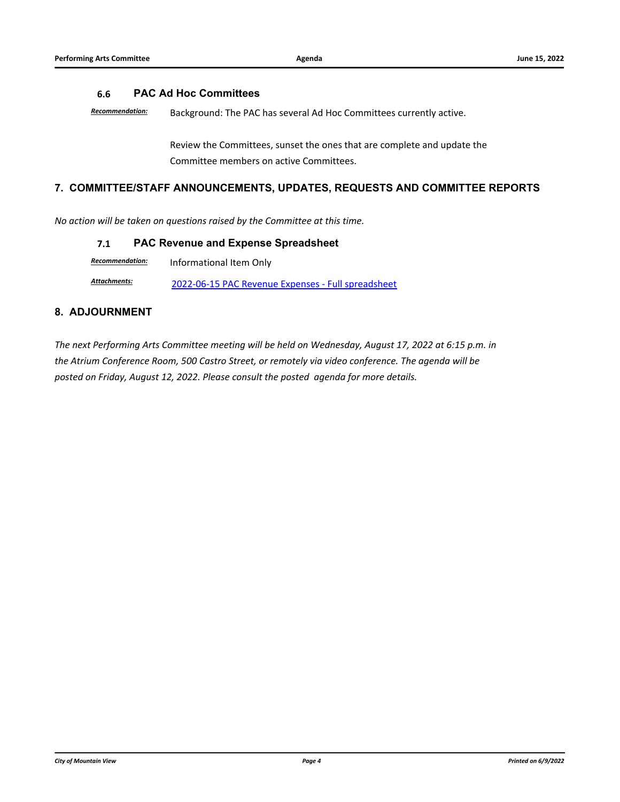## **6.6 [PAC Ad Hoc Committees](http://mountainview.legistar.com/gateway.aspx?m=l&id=/matter.aspx?key=6581)**

*Recommendation:* Background: The PAC has several Ad Hoc Committees currently active.

Review the Committees, sunset the ones that are complete and update the Committee members on active Committees.

## **7. COMMITTEE/STAFF ANNOUNCEMENTS, UPDATES, REQUESTS AND COMMITTEE REPORTS**

*No action will be taken on questions raised by the Committee at this time.*

### **7.1 [PAC Revenue and Expense Spreadsheet](http://mountainview.legistar.com/gateway.aspx?m=l&id=/matter.aspx?key=6587)**

*Recommendation:* Informational Item Only

Attachments: [2022-06-15 PAC Revenue Expenses - Full spreadsheet](http://mountainview.legistar.com/gateway.aspx?M=F&ID=8b19171f-bcfe-4655-bdd1-095c02541f2b.pdf)

## **8. ADJOURNMENT**

*The next Performing Arts Committee meeting will be held on Wednesday, August 17, 2022 at 6:15 p.m. in the Atrium Conference Room, 500 Castro Street, or remotely via video conference. The agenda will be posted on Friday, August 12, 2022. Please consult the posted agenda for more details.*